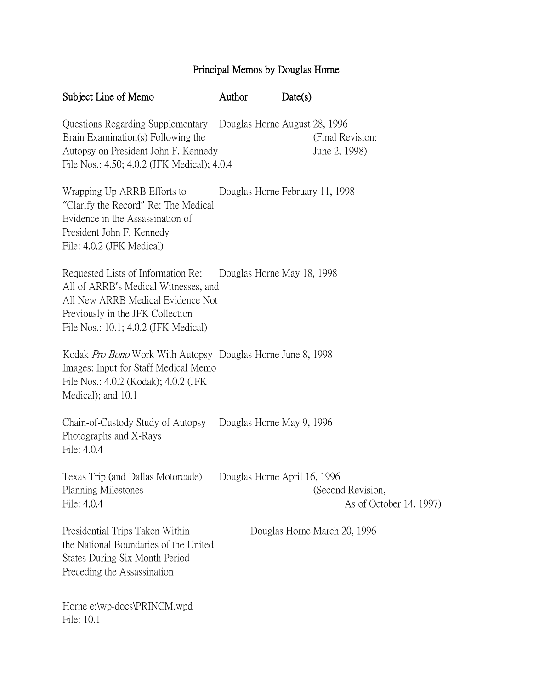## Principal Memos by Douglas Horne

| Subject Line of Memo                                                                                                                                                                        | Author | Date(s)                         |                                              |
|---------------------------------------------------------------------------------------------------------------------------------------------------------------------------------------------|--------|---------------------------------|----------------------------------------------|
| Questions Regarding Supplementary<br>Brain Examination(s) Following the<br>Autopsy on President John F. Kennedy<br>File Nos.: 4.50; 4.0.2 (JFK Medical); 4.0.4                              |        | Douglas Horne August 28, 1996   | (Final Revision:<br>June 2, 1998)            |
| Wrapping Up ARRB Efforts to<br>"Clarify the Record" Re: The Medical<br>Evidence in the Assassination of<br>President John F. Kennedy<br>File: 4.0.2 (JFK Medical)                           |        | Douglas Horne February 11, 1998 |                                              |
| Requested Lists of Information Re:<br>All of ARRB's Medical Witnesses, and<br>All New ARRB Medical Evidence Not<br>Previously in the JFK Collection<br>File Nos.: 10.1; 4.0.2 (JFK Medical) |        | Douglas Horne May 18, 1998      |                                              |
| Kodak <i>Pro Bono</i> Work With Autopsy Douglas Horne June 8, 1998<br>Images: Input for Staff Medical Memo<br>File Nos.: 4.0.2 (Kodak); 4.0.2 (JFK)<br>Medical); and 10.1                   |        |                                 |                                              |
| Chain-of-Custody Study of Autopsy Douglas Horne May 9, 1996<br>Photographs and X-Rays<br>File: 4.0.4                                                                                        |        |                                 |                                              |
| Texas Trip (and Dallas Motorcade)<br>Planning Milestones<br>File: 4.0.4                                                                                                                     |        | Douglas Horne April 16, 1996    | (Second Revision,<br>As of October 14, 1997) |
| Presidential Trips Taken Within<br>the National Boundaries of the United<br>States During Six Month Period<br>Preceding the Assassination                                                   |        |                                 | Douglas Horne March 20, 1996                 |
| Horne e:\wp-docs\PRINCM.wpd<br>File: 10.1                                                                                                                                                   |        |                                 |                                              |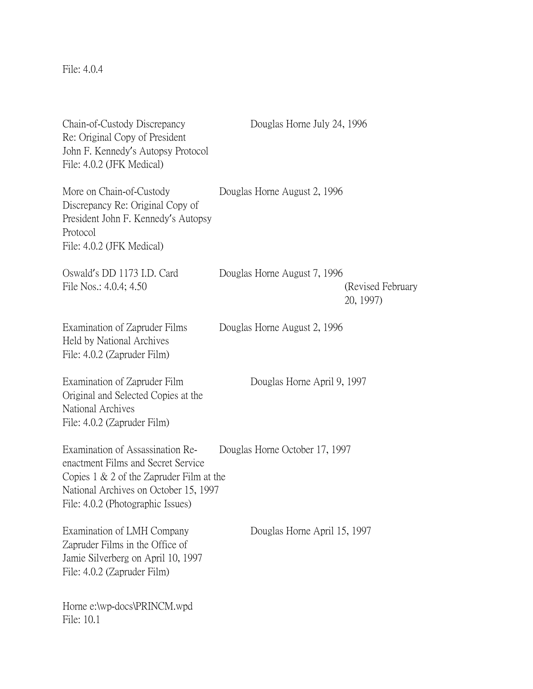File: 4.0.4

| Chain-of-Custody Discrepancy<br>Re: Original Copy of President<br>John F. Kennedy's Autopsy Protocol<br>File: 4.0.2 (JFK Medical)                                                                   | Douglas Horne July 24, 1996    |                                 |
|-----------------------------------------------------------------------------------------------------------------------------------------------------------------------------------------------------|--------------------------------|---------------------------------|
| More on Chain-of-Custody<br>Discrepancy Re: Original Copy of<br>President John F. Kennedy's Autopsy<br>Protocol<br>File: 4.0.2 (JFK Medical)                                                        | Douglas Horne August 2, 1996   |                                 |
| Oswald's DD 1173 I.D. Card<br>File Nos.: 4.0.4; 4.50                                                                                                                                                | Douglas Horne August 7, 1996   | (Revised February)<br>20, 1997) |
| Examination of Zapruder Films<br>Held by National Archives<br>File: 4.0.2 (Zapruder Film)                                                                                                           | Douglas Horne August 2, 1996   |                                 |
| Examination of Zapruder Film<br>Original and Selected Copies at the<br>National Archives<br>File: 4.0.2 (Zapruder Film)                                                                             | Douglas Horne April 9, 1997    |                                 |
| Examination of Assassination Re-<br>enactment Films and Secret Service<br>Copies $1 \& 2$ of the Zapruder Film at the<br>National Archives on October 15, 1997<br>File: 4.0.2 (Photographic Issues) | Douglas Horne October 17, 1997 |                                 |
| Examination of LMH Company<br>Zapruder Films in the Office of<br>Jamie Silverberg on April 10, 1997<br>File: 4.0.2 (Zapruder Film)                                                                  | Douglas Horne April 15, 1997   |                                 |
| Horne e:\wp-docs\PRINCM.wpd<br>File: 10.1                                                                                                                                                           |                                |                                 |